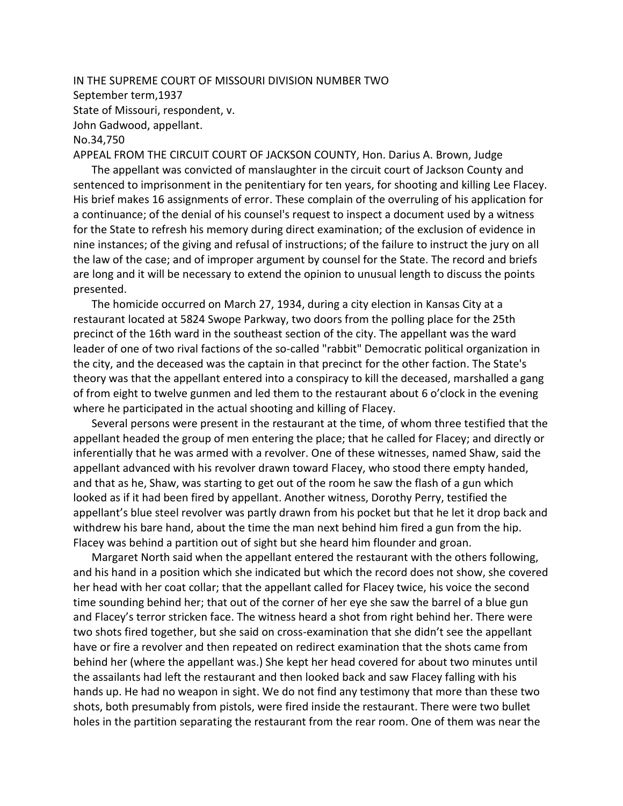## IN THE SUPREME COURT OF MISSOURI DIVISION NUMBER TWO September term,1937 State of Missouri, respondent, v. John Gadwood, appellant. No.34,750

APPEAL FROM THE CIRCUIT COURT OF JACKSON COUNTY, Hon. Darius A. Brown, Judge

The appellant was convicted of manslaughter in the circuit court of Jackson County and sentenced to imprisonment in the penitentiary for ten years, for shooting and killing Lee Flacey. His brief makes 16 assignments of error. These complain of the overruling of his application for a continuance; of the denial of his counsel's request to inspect a document used by a witness for the State to refresh his memory during direct examination; of the exclusion of evidence in nine instances; of the giving and refusal of instructions; of the failure to instruct the jury on all the law of the case; and of improper argument by counsel for the State. The record and briefs are long and it will be necessary to extend the opinion to unusual length to discuss the points presented.

The homicide occurred on March 27, 1934, during a city election in Kansas City at a restaurant located at 5824 Swope Parkway, two doors from the polling place for the 25th precinct of the 16th ward in the southeast section of the city. The appellant was the ward leader of one of two rival factions of the so-called "rabbit" Democratic political organization in the city, and the deceased was the captain in that precinct for the other faction. The State's theory was that the appellant entered into a conspiracy to kill the deceased, marshalled a gang of from eight to twelve gunmen and led them to the restaurant about 6 o'clock in the evening where he participated in the actual shooting and killing of Flacey.

Several persons were present in the restaurant at the time, of whom three testified that the appellant headed the group of men entering the place; that he called for Flacey; and directly or inferentially that he was armed with a revolver. One of these witnesses, named Shaw, said the appellant advanced with his revolver drawn toward Flacey, who stood there empty handed, and that as he, Shaw, was starting to get out of the room he saw the flash of a gun which looked as if it had been fired by appellant. Another witness, Dorothy Perry, testified the appellant's blue steel revolver was partly drawn from his pocket but that he let it drop back and withdrew his bare hand, about the time the man next behind him fired a gun from the hip. Flacey was behind a partition out of sight but she heard him flounder and groan.

Margaret North said when the appellant entered the restaurant with the others following, and his hand in a position which she indicated but which the record does not show, she covered her head with her coat collar; that the appellant called for Flacey twice, his voice the second time sounding behind her; that out of the corner of her eye she saw the barrel of a blue gun and Flacey's terror stricken face. The witness heard a shot from right behind her. There were two shots fired together, but she said on cross-examination that she didn't see the appellant have or fire a revolver and then repeated on redirect examination that the shots came from behind her (where the appellant was.) She kept her head covered for about two minutes until the assailants had left the restaurant and then looked back and saw Flacey falling with his hands up. He had no weapon in sight. We do not find any testimony that more than these two shots, both presumably from pistols, were fired inside the restaurant. There were two bullet holes in the partition separating the restaurant from the rear room. One of them was near the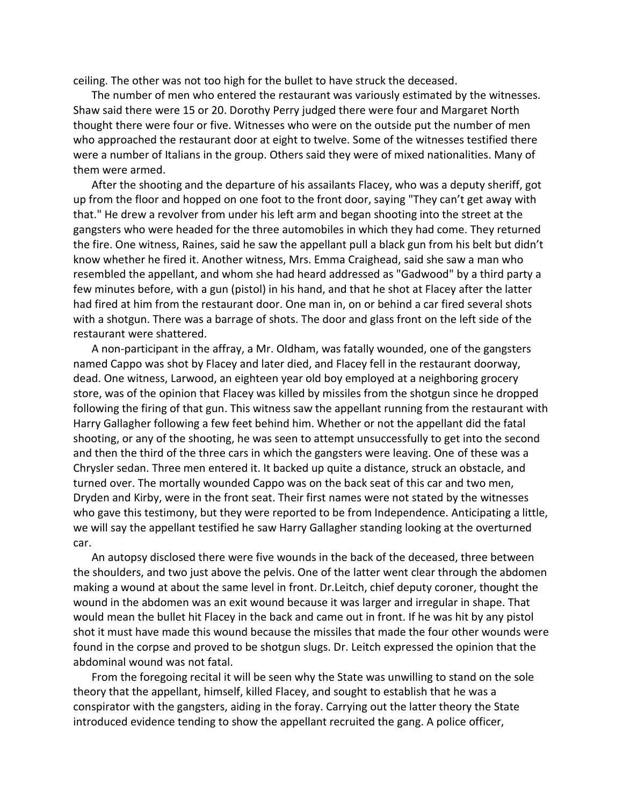ceiling. The other was not too high for the bullet to have struck the deceased.

The number of men who entered the restaurant was variously estimated by the witnesses. Shaw said there were 15 or 20. Dorothy Perry judged there were four and Margaret North thought there were four or five. Witnesses who were on the outside put the number of men who approached the restaurant door at eight to twelve. Some of the witnesses testified there were a number of Italians in the group. Others said they were of mixed nationalities. Many of them were armed.

After the shooting and the departure of his assailants Flacey, who was a deputy sheriff, got up from the floor and hopped on one foot to the front door, saying "They can't get away with that." He drew a revolver from under his left arm and began shooting into the street at the gangsters who were headed for the three automobiles in which they had come. They returned the fire. One witness, Raines, said he saw the appellant pull a black gun from his belt but didn't know whether he fired it. Another witness, Mrs. Emma Craighead, said she saw a man who resembled the appellant, and whom she had heard addressed as "Gadwood" by a third party a few minutes before, with a gun (pistol) in his hand, and that he shot at Flacey after the latter had fired at him from the restaurant door. One man in, on or behind a car fired several shots with a shotgun. There was a barrage of shots. The door and glass front on the left side of the restaurant were shattered.

A non-participant in the affray, a Mr. Oldham, was fatally wounded, one of the gangsters named Cappo was shot by Flacey and later died, and Flacey fell in the restaurant doorway, dead. One witness, Larwood, an eighteen year old boy employed at a neighboring grocery store, was of the opinion that Flacey was killed by missiles from the shotgun since he dropped following the firing of that gun. This witness saw the appellant running from the restaurant with Harry Gallagher following a few feet behind him. Whether or not the appellant did the fatal shooting, or any of the shooting, he was seen to attempt unsuccessfully to get into the second and then the third of the three cars in which the gangsters were leaving. One of these was a Chrysler sedan. Three men entered it. It backed up quite a distance, struck an obstacle, and turned over. The mortally wounded Cappo was on the back seat of this car and two men, Dryden and Kirby, were in the front seat. Their first names were not stated by the witnesses who gave this testimony, but they were reported to be from Independence. Anticipating a little, we will say the appellant testified he saw Harry Gallagher standing looking at the overturned car.

An autopsy disclosed there were five wounds in the back of the deceased, three between the shoulders, and two just above the pelvis. One of the latter went clear through the abdomen making a wound at about the same level in front. Dr.Leitch, chief deputy coroner, thought the wound in the abdomen was an exit wound because it was larger and irregular in shape. That would mean the bullet hit Flacey in the back and came out in front. If he was hit by any pistol shot it must have made this wound because the missiles that made the four other wounds were found in the corpse and proved to be shotgun slugs. Dr. Leitch expressed the opinion that the abdominal wound was not fatal.

From the foregoing recital it will be seen why the State was unwilling to stand on the sole theory that the appellant, himself, killed Flacey, and sought to establish that he was a conspirator with the gangsters, aiding in the foray. Carrying out the latter theory the State introduced evidence tending to show the appellant recruited the gang. A police officer,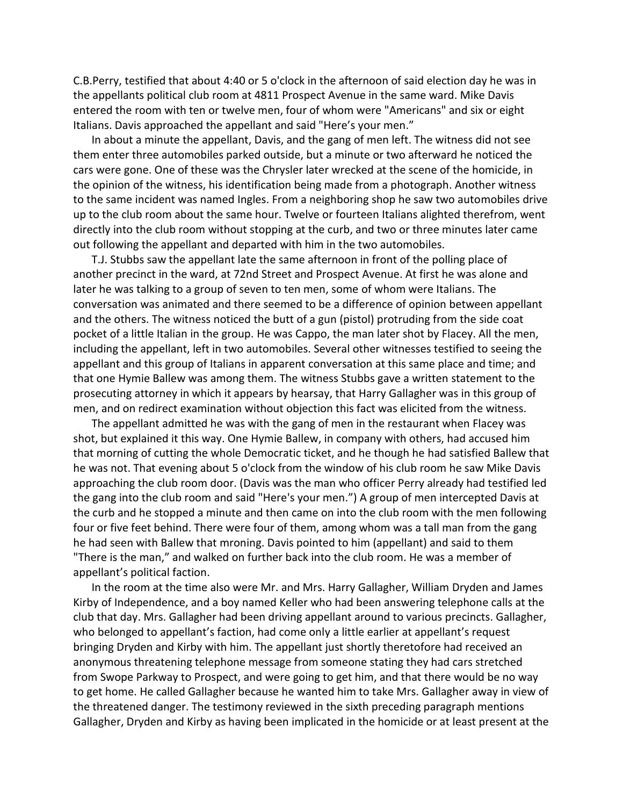C.B.Perry, testified that about 4:40 or 5 o'clock in the afternoon of said election day he was in the appellants political club room at 4811 Prospect Avenue in the same ward. Mike Davis entered the room with ten or twelve men, four of whom were "Americans" and six or eight Italians. Davis approached the appellant and said "Here's your men."

In about a minute the appellant, Davis, and the gang of men left. The witness did not see them enter three automobiles parked outside, but a minute or two afterward he noticed the cars were gone. One of these was the Chrysler later wrecked at the scene of the homicide, in the opinion of the witness, his identification being made from a photograph. Another witness to the same incident was named Ingles. From a neighboring shop he saw two automobiles drive up to the club room about the same hour. Twelve or fourteen Italians alighted therefrom, went directly into the club room without stopping at the curb, and two or three minutes later came out following the appellant and departed with him in the two automobiles.

T.J. Stubbs saw the appellant late the same afternoon in front of the polling place of another precinct in the ward, at 72nd Street and Prospect Avenue. At first he was alone and later he was talking to a group of seven to ten men, some of whom were Italians. The conversation was animated and there seemed to be a difference of opinion between appellant and the others. The witness noticed the butt of a gun (pistol) protruding from the side coat pocket of a little Italian in the group. He was Cappo, the man later shot by Flacey. All the men, including the appellant, left in two automobiles. Several other witnesses testified to seeing the appellant and this group of Italians in apparent conversation at this same place and time; and that one Hymie Ballew was among them. The witness Stubbs gave a written statement to the prosecuting attorney in which it appears by hearsay, that Harry Gallagher was in this group of men, and on redirect examination without objection this fact was elicited from the witness.

The appellant admitted he was with the gang of men in the restaurant when Flacey was shot, but explained it this way. One Hymie Ballew, in company with others, had accused him that morning of cutting the whole Democratic ticket, and he though he had satisfied Ballew that he was not. That evening about 5 o'clock from the window of his club room he saw Mike Davis approaching the club room door. (Davis was the man who officer Perry already had testified led the gang into the club room and said "Here's your men.") A group of men intercepted Davis at the curb and he stopped a minute and then came on into the club room with the men following four or five feet behind. There were four of them, among whom was a tall man from the gang he had seen with Ballew that mroning. Davis pointed to him (appellant) and said to them "There is the man," and walked on further back into the club room. He was a member of appellant's political faction.

In the room at the time also were Mr. and Mrs. Harry Gallagher, William Dryden and James Kirby of Independence, and a boy named Keller who had been answering telephone calls at the club that day. Mrs. Gallagher had been driving appellant around to various precincts. Gallagher, who belonged to appellant's faction, had come only a little earlier at appellant's request bringing Dryden and Kirby with him. The appellant just shortly theretofore had received an anonymous threatening telephone message from someone stating they had cars stretched from Swope Parkway to Prospect, and were going to get him, and that there would be no way to get home. He called Gallagher because he wanted him to take Mrs. Gallagher away in view of the threatened danger. The testimony reviewed in the sixth preceding paragraph mentions Gallagher, Dryden and Kirby as having been implicated in the homicide or at least present at the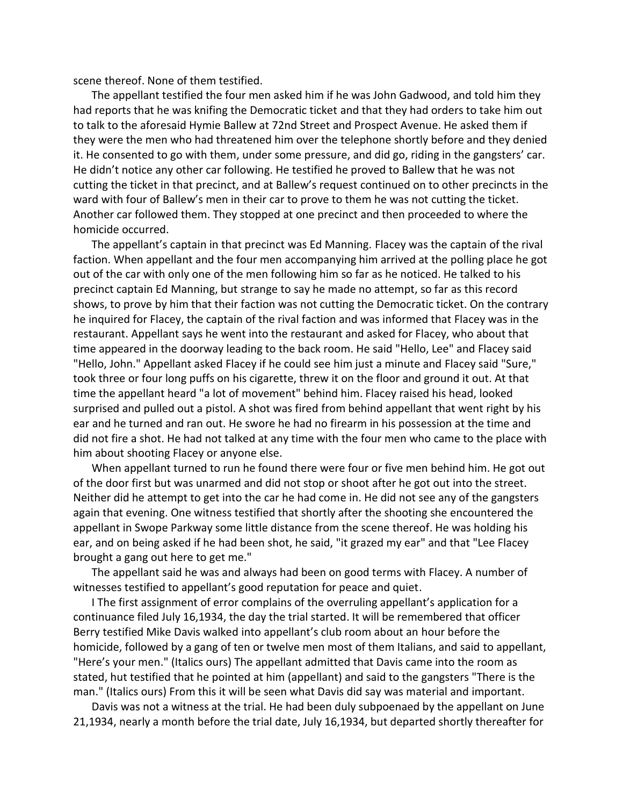scene thereof. None of them testified.

The appellant testified the four men asked him if he was John Gadwood, and told him they had reports that he was knifing the Democratic ticket and that they had orders to take him out to talk to the aforesaid Hymie Ballew at 72nd Street and Prospect Avenue. He asked them if they were the men who had threatened him over the telephone shortly before and they denied it. He consented to go with them, under some pressure, and did go, riding in the gangsters' car. He didn't notice any other car following. He testified he proved to Ballew that he was not cutting the ticket in that precinct, and at Ballew's request continued on to other precincts in the ward with four of Ballew's men in their car to prove to them he was not cutting the ticket. Another car followed them. They stopped at one precinct and then proceeded to where the homicide occurred.

The appellant's captain in that precinct was Ed Manning. Flacey was the captain of the rival faction. When appellant and the four men accompanying him arrived at the polling place he got out of the car with only one of the men following him so far as he noticed. He talked to his precinct captain Ed Manning, but strange to say he made no attempt, so far as this record shows, to prove by him that their faction was not cutting the Democratic ticket. On the contrary he inquired for Flacey, the captain of the rival faction and was informed that Flacey was in the restaurant. Appellant says he went into the restaurant and asked for Flacey, who about that time appeared in the doorway leading to the back room. He said "Hello, Lee" and Flacey said "Hello, John." Appellant asked Flacey if he could see him just a minute and Flacey said "Sure," took three or four long puffs on his cigarette, threw it on the floor and ground it out. At that time the appellant heard "a lot of movement" behind him. Flacey raised his head, looked surprised and pulled out a pistol. A shot was fired from behind appellant that went right by his ear and he turned and ran out. He swore he had no firearm in his possession at the time and did not fire a shot. He had not talked at any time with the four men who came to the place with him about shooting Flacey or anyone else.

When appellant turned to run he found there were four or five men behind him. He got out of the door first but was unarmed and did not stop or shoot after he got out into the street. Neither did he attempt to get into the car he had come in. He did not see any of the gangsters again that evening. One witness testified that shortly after the shooting she encountered the appellant in Swope Parkway some little distance from the scene thereof. He was holding his ear, and on being asked if he had been shot, he said, "it grazed my ear" and that "Lee Flacey brought a gang out here to get me."

The appellant said he was and always had been on good terms with Flacey. A number of witnesses testified to appellant's good reputation for peace and quiet.

I The first assignment of error complains of the overruling appellant's application for a continuance filed July 16,1934, the day the trial started. It will be remembered that officer Berry testified Mike Davis walked into appellant's club room about an hour before the homicide, followed by a gang of ten or twelve men most of them Italians, and said to appellant, "Here's your men." (Italics ours) The appellant admitted that Davis came into the room as stated, hut testified that he pointed at him (appellant) and said to the gangsters "There is the man." (Italics ours) From this it will be seen what Davis did say was material and important.

Davis was not a witness at the trial. He had been duly subpoenaed by the appellant on June 21,1934, nearly a month before the trial date, July 16,1934, but departed shortly thereafter for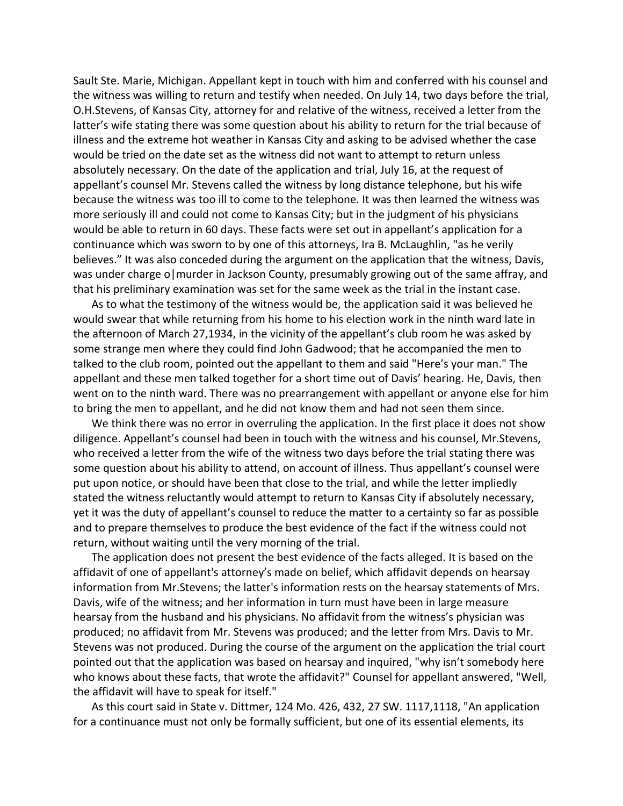Sault Ste. Marie, Michigan. Appellant kept in touch with him and conferred with his counsel and the witness was willing to return and testify when needed. On July 14, two days before the trial, O.H.Stevens, of Kansas City, attorney for and relative of the witness, received a letter from the latter's wife stating there was some question about his ability to return for the trial because of illness and the extreme hot weather in Kansas City and asking to be advised whether the case would be tried on the date set as the witness did not want to attempt to return unless absolutely necessary. On the date of the application and trial, July 16, at the request of appellant's counsel Mr. Stevens called the witness by long distance telephone, but his wife because the witness was too ill to come to the telephone. It was then learned the witness was more seriously ill and could not come to Kansas City; but in the judgment of his physicians would be able to return in 60 days. These facts were set out in appellant's application for a continuance which was sworn to by one of this attorneys, Ira B. McLaughlin, "as he verily believes." It was also conceded during the argument on the application that the witness, Davis, was under charge o|murder in Jackson County, presumably growing out of the same affray, and that his preliminary examination was set for the same week as the trial in the instant case.

As to what the testimony of the witness would be, the application said it was believed he would swear that while returning from his home to his election work in the ninth ward late in the afternoon of March 27,1934, in the vicinity of the appellant's club room he was asked by some strange men where they could find John Gadwood; that he accompanied the men to talked to the club room, pointed out the appellant to them and said "Here's your man." The appellant and these men talked together for a short time out of Davis' hearing. He, Davis, then went on to the ninth ward. There was no prearrangement with appellant or anyone else for him to bring the men to appellant, and he did not know them and had not seen them since.

We think there was no error in overruling the application. In the first place it does not show diligence. Appellant's counsel had been in touch with the witness and his counsel, Mr.Stevens, who received a letter from the wife of the witness two days before the trial stating there was some question about his ability to attend, on account of illness. Thus appellant's counsel were put upon notice, or should have been that close to the trial, and while the letter impliedly stated the witness reluctantly would attempt to return to Kansas City if absolutely necessary, yet it was the duty of appellant's counsel to reduce the matter to a certainty so far as possible and to prepare themselves to produce the best evidence of the fact if the witness could not return, without waiting until the very morning of the trial.

The application does not present the best evidence of the facts alleged. It is based on the affidavit of one of appellant's attorney's made on belief, which affidavit depends on hearsay information from Mr.Stevens; the latter's information rests on the hearsay statements of Mrs. Davis, wife of the witness; and her information in turn must have been in large measure hearsay from the husband and his physicians. No affidavit from the witness's physician was produced; no affidavit from Mr. Stevens was produced; and the letter from Mrs. Davis to Mr. Stevens was not produced. During the course of the argument on the application the trial court pointed out that the application was based on hearsay and inquired, "why isn't somebody here who knows about these facts, that wrote the affidavit?" Counsel for appellant answered, "Well, the affidavit will have to speak for itself."

As this court said in State v. Dittmer, 124 Mo. 426, 432, 27 SW. 1117,1118, "An application for a continuance must not only be formally sufficient, but one of its essential elements, its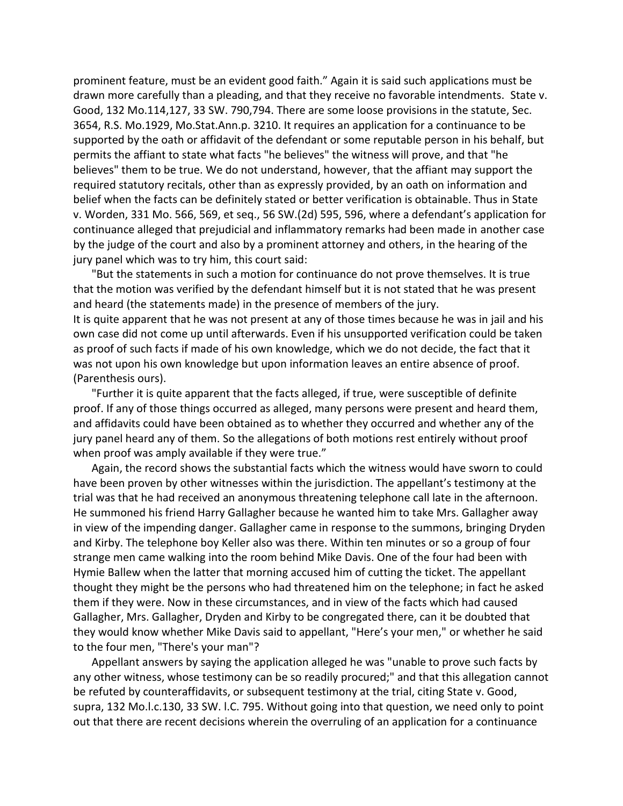prominent feature, must be an evident good faith." Again it is said such applications must be drawn more carefully than a pleading, and that they receive no favorable intendments. State v. Good, 132 Mo.114,127, 33 SW. 790,794. There are some loose provisions in the statute, Sec. 3654, R.S. Mo.1929, Mo.Stat.Ann.p. 3210. It requires an application for a continuance to be supported by the oath or affidavit of the defendant or some reputable person in his behalf, but permits the affiant to state what facts "he believes" the witness will prove, and that "he believes" them to be true. We do not understand, however, that the affiant may support the required statutory recitals, other than as expressly provided, by an oath on information and belief when the facts can be definitely stated or better verification is obtainable. Thus in State v. Worden, 331 Mo. 566, 569, et seq., 56 SW.(2d) 595, 596, where a defendant's application for continuance alleged that prejudicial and inflammatory remarks had been made in another case by the judge of the court and also by a prominent attorney and others, in the hearing of the jury panel which was to try him, this court said:

"But the statements in such a motion for continuance do not prove themselves. It is true that the motion was verified by the defendant himself but it is not stated that he was present and heard (the statements made) in the presence of members of the jury. It is quite apparent that he was not present at any of those times because he was in jail and his own case did not come up until afterwards. Even if his unsupported verification could be taken as proof of such facts if made of his own knowledge, which we do not decide, the fact that it was not upon his own knowledge but upon information leaves an entire absence of proof. (Parenthesis ours).

"Further it is quite apparent that the facts alleged, if true, were susceptible of definite proof. If any of those things occurred as alleged, many persons were present and heard them, and affidavits could have been obtained as to whether they occurred and whether any of the jury panel heard any of them. So the allegations of both motions rest entirely without proof when proof was amply available if they were true."

Again, the record shows the substantial facts which the witness would have sworn to could have been proven by other witnesses within the jurisdiction. The appellant's testimony at the trial was that he had received an anonymous threatening telephone call late in the afternoon. He summoned his friend Harry Gallagher because he wanted him to take Mrs. Gallagher away in view of the impending danger. Gallagher came in response to the summons, bringing Dryden and Kirby. The telephone boy Keller also was there. Within ten minutes or so a group of four strange men came walking into the room behind Mike Davis. One of the four had been with Hymie Ballew when the latter that morning accused him of cutting the ticket. The appellant thought they might be the persons who had threatened him on the telephone; in fact he asked them if they were. Now in these circumstances, and in view of the facts which had caused Gallagher, Mrs. Gallagher, Dryden and Kirby to be congregated there, can it be doubted that they would know whether Mike Davis said to appellant, "Here's your men," or whether he said to the four men, "There's your man"?

Appellant answers by saying the application alleged he was "unable to prove such facts by any other witness, whose testimony can be so readily procured;" and that this allegation cannot be refuted by counteraffidavits, or subsequent testimony at the trial, citing State v. Good, supra, 132 Mo.l.c.130, 33 SW. l.C. 795. Without going into that question, we need only to point out that there are recent decisions wherein the overruling of an application for a continuance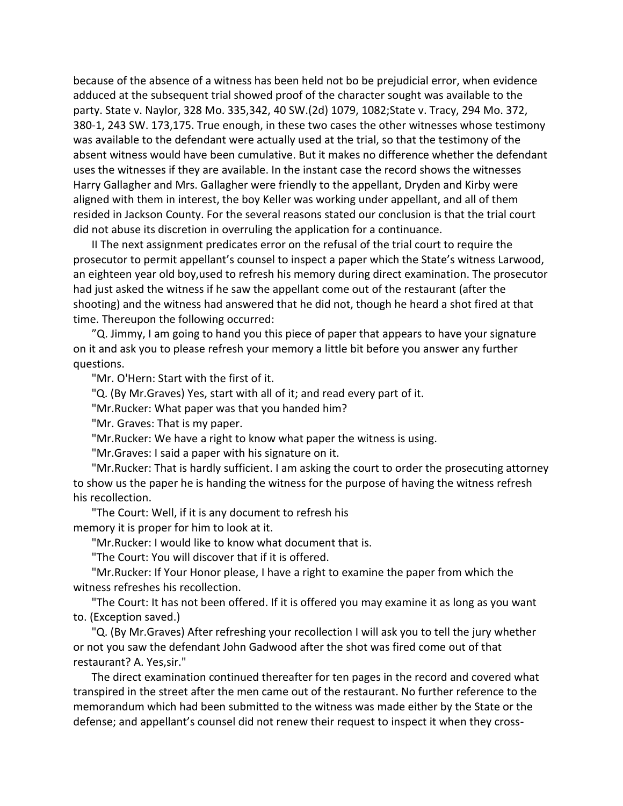because of the absence of a witness has been held not bo be prejudicial error, when evidence adduced at the subsequent trial showed proof of the character sought was available to the party. State v. Naylor, 328 Mo. 335,342, 40 SW.(2d) 1079, 1082;State v. Tracy, 294 Mo. 372, 380-1, 243 SW. 173,175. True enough, in these two cases the other witnesses whose testimony was available to the defendant were actually used at the trial, so that the testimony of the absent witness would have been cumulative. But it makes no difference whether the defendant uses the witnesses if they are available. In the instant case the record shows the witnesses Harry Gallagher and Mrs. Gallagher were friendly to the appellant, Dryden and Kirby were aligned with them in interest, the boy Keller was working under appellant, and all of them resided in Jackson County. For the several reasons stated our conclusion is that the trial court did not abuse its discretion in overruling the application for a continuance.

II The next assignment predicates error on the refusal of the trial court to require the prosecutor to permit appellant's counsel to inspect a paper which the State's witness Larwood, an eighteen year old boy,used to refresh his memory during direct examination. The prosecutor had just asked the witness if he saw the appellant come out of the restaurant (after the shooting) and the witness had answered that he did not, though he heard a shot fired at that time. Thereupon the following occurred:

"Q. Jimmy, I am going to hand you this piece of paper that appears to have your signature on it and ask you to please refresh your memory a little bit before you answer any further questions.

"Mr. O'Hern: Start with the first of it.

"Q. (By Mr.Graves) Yes, start with all of it; and read every part of it.

"Mr.Rucker: What paper was that you handed him?

"Mr. Graves: That is my paper.

"Mr.Rucker: We have a right to know what paper the witness is using.

"Mr.Graves: I said a paper with his signature on it.

"Mr.Rucker: That is hardly sufficient. I am asking the court to order the prosecuting attorney to show us the paper he is handing the witness for the purpose of having the witness refresh his recollection.

"The Court: Well, if it is any document to refresh his memory it is proper for him to look at it.

"Mr.Rucker: I would like to know what document that is.

"The Court: You will discover that if it is offered.

"Mr.Rucker: If Your Honor please, I have a right to examine the paper from which the witness refreshes his recollection.

"The Court: It has not been offered. If it is offered you may examine it as long as you want to. (Exception saved.)

"Q. (By Mr.Graves) After refreshing your recollection I will ask you to tell the jury whether or not you saw the defendant John Gadwood after the shot was fired come out of that restaurant? A. Yes,sir."

The direct examination continued thereafter for ten pages in the record and covered what transpired in the street after the men came out of the restaurant. No further reference to the memorandum which had been submitted to the witness was made either by the State or the defense; and appellant's counsel did not renew their request to inspect it when they cross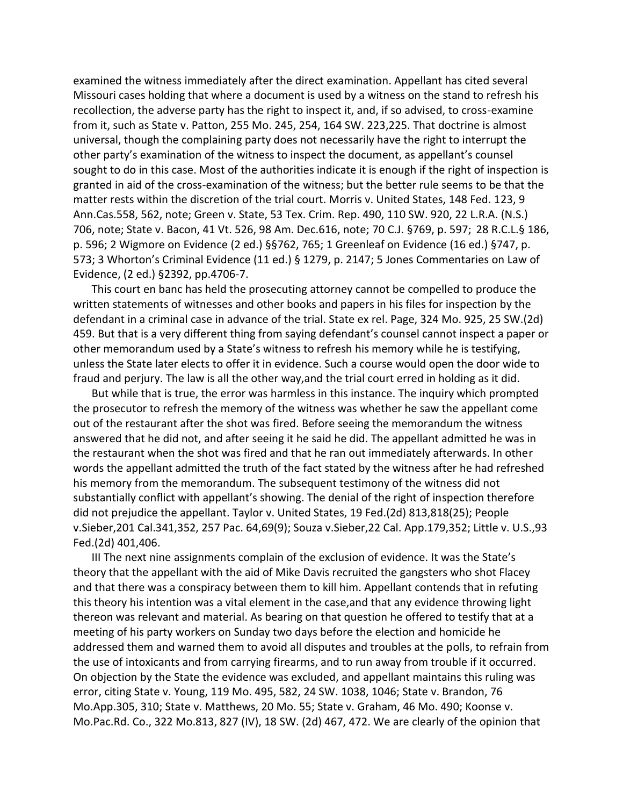examined the witness immediately after the direct examination. Appellant has cited several Missouri cases holding that where a document is used by a witness on the stand to refresh his recollection, the adverse party has the right to inspect it, and, if so advised, to cross-examine from it, such as State v. Patton, 255 Mo. 245, 254, 164 SW. 223,225. That doctrine is almost universal, though the complaining party does not necessarily have the right to interrupt the other party's examination of the witness to inspect the document, as appellant's counsel sought to do in this case. Most of the authorities indicate it is enough if the right of inspection is granted in aid of the cross-examination of the witness; but the better rule seems to be that the matter rests within the discretion of the trial court. Morris v. United States, 148 Fed. 123, 9 Ann.Cas.558, 562, note; Green v. State, 53 Tex. Crim. Rep. 490, 110 SW. 920, 22 L.R.A. (N.S.) 706, note; State v. Bacon, 41 Vt. 526, 98 Am. Dec.616, note; 70 C.J. §769, p. 597; 28 R.C.L.§ 186, p. 596; 2 Wigmore on Evidence (2 ed.) §§762, 765; 1 Greenleaf on Evidence (16 ed.) §747, p. 573; 3 Whorton's Criminal Evidence (11 ed.) § 1279, p. 2147; 5 Jones Commentaries on Law of Evidence, (2 ed.) §2392, pp.4706-7.

This court en banc has held the prosecuting attorney cannot be compelled to produce the written statements of witnesses and other books and papers in his files for inspection by the defendant in a criminal case in advance of the trial. State ex rel. Page, 324 Mo. 925, 25 SW.(2d) 459. But that is a very different thing from saying defendant's counsel cannot inspect a paper or other memorandum used by a State's witness to refresh his memory while he is testifying, unless the State later elects to offer it in evidence. Such a course would open the door wide to fraud and perjury. The law is all the other way,and the trial court erred in holding as it did.

But while that is true, the error was harmless in this instance. The inquiry which prompted the prosecutor to refresh the memory of the witness was whether he saw the appellant come out of the restaurant after the shot was fired. Before seeing the memorandum the witness answered that he did not, and after seeing it he said he did. The appellant admitted he was in the restaurant when the shot was fired and that he ran out immediately afterwards. In other words the appellant admitted the truth of the fact stated by the witness after he had refreshed his memory from the memorandum. The subsequent testimony of the witness did not substantially conflict with appellant's showing. The denial of the right of inspection therefore did not prejudice the appellant. Taylor v. United States, 19 Fed.(2d) 813,818(25); People v.Sieber,201 Cal.341,352, 257 Pac. 64,69(9); Souza v.Sieber,22 Cal. App.179,352; Little v. U.S.,93 Fed.(2d) 401,406.

III The next nine assignments complain of the exclusion of evidence. It was the State's theory that the appellant with the aid of Mike Davis recruited the gangsters who shot Flacey and that there was a conspiracy between them to kill him. Appellant contends that in refuting this theory his intention was a vital element in the case,and that any evidence throwing light thereon was relevant and material. As bearing on that question he offered to testify that at a meeting of his party workers on Sunday two days before the election and homicide he addressed them and warned them to avoid all disputes and troubles at the polls, to refrain from the use of intoxicants and from carrying firearms, and to run away from trouble if it occurred. On objection by the State the evidence was excluded, and appellant maintains this ruling was error, citing State v. Young, 119 Mo. 495, 582, 24 SW. 1038, 1046; State v. Brandon, 76 Mo.App.305, 310; State v. Matthews, 20 Mo. 55; State v. Graham, 46 Mo. 490; Koonse v. Mo.Pac.Rd. Co., 322 Mo.813, 827 (IV), 18 SW. (2d) 467, 472. We are clearly of the opinion that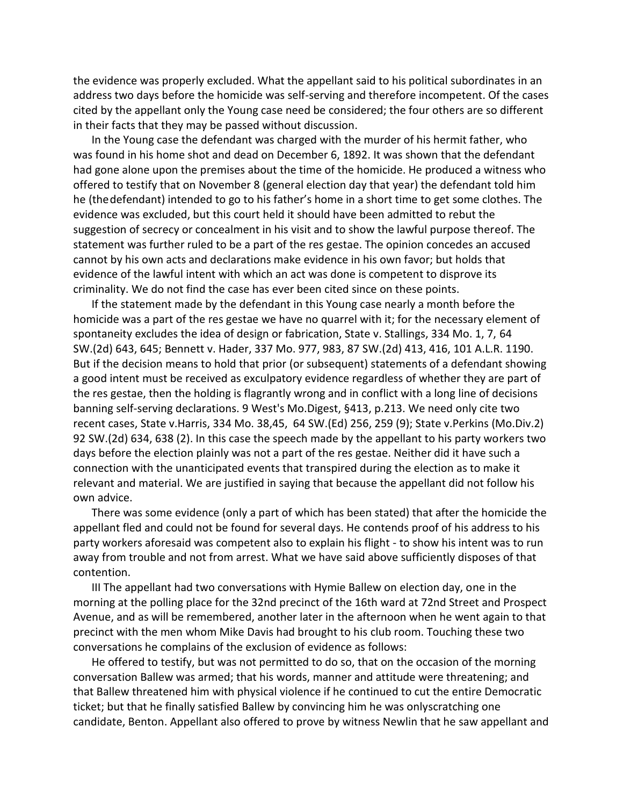the evidence was properly excluded. What the appellant said to his political subordinates in an address two days before the homicide was self-serving and therefore incompetent. Of the cases cited by the appellant only the Young case need be considered; the four others are so different in their facts that they may be passed without discussion.

In the Young case the defendant was charged with the murder of his hermit father, who was found in his home shot and dead on December 6, 1892. It was shown that the defendant had gone alone upon the premises about the time of the homicide. He produced a witness who offered to testify that on November 8 (general election day that year) the defendant told him he (thedefendant) intended to go to his father's home in a short time to get some clothes. The evidence was excluded, but this court held it should have been admitted to rebut the suggestion of secrecy or concealment in his visit and to show the lawful purpose thereof. The statement was further ruled to be a part of the res gestae. The opinion concedes an accused cannot by his own acts and declarations make evidence in his own favor; but holds that evidence of the lawful intent with which an act was done is competent to disprove its criminality. We do not find the case has ever been cited since on these points.

If the statement made by the defendant in this Young case nearly a month before the homicide was a part of the res gestae we have no quarrel with it; for the necessary element of spontaneity excludes the idea of design or fabrication, State v. Stallings, 334 Mo. 1, 7, 64 SW.(2d) 643, 645; Bennett v. Hader, 337 Mo. 977, 983, 87 SW.(2d) 413, 416, 101 A.L.R. 1190. But if the decision means to hold that prior (or subsequent) statements of a defendant showing a good intent must be received as exculpatory evidence regardless of whether they are part of the res gestae, then the holding is flagrantly wrong and in conflict with a long line of decisions banning self-serving declarations. 9 West's Mo.Digest, §413, p.213. We need only cite two recent cases, State v.Harris, 334 Mo. 38,45, 64 SW.(Ed) 256, 259 (9); State v.Perkins (Mo.Div.2) 92 SW.(2d) 634, 638 (2). In this case the speech made by the appellant to his party workers two days before the election plainly was not a part of the res gestae. Neither did it have such a connection with the unanticipated events that transpired during the election as to make it relevant and material. We are justified in saying that because the appellant did not follow his own advice.

There was some evidence (only a part of which has been stated) that after the homicide the appellant fled and could not be found for several days. He contends proof of his address to his party workers aforesaid was competent also to explain his flight - to show his intent was to run away from trouble and not from arrest. What we have said above sufficiently disposes of that contention.

III The appellant had two conversations with Hymie Ballew on election day, one in the morning at the polling place for the 32nd precinct of the 16th ward at 72nd Street and Prospect Avenue, and as will be remembered, another later in the afternoon when he went again to that precinct with the men whom Mike Davis had brought to his club room. Touching these two conversations he complains of the exclusion of evidence as follows:

He offered to testify, but was not permitted to do so, that on the occasion of the morning conversation Ballew was armed; that his words, manner and attitude were threatening; and that Ballew threatened him with physical violence if he continued to cut the entire Democratic ticket; but that he finally satisfied Ballew by convincing him he was onlyscratching one candidate, Benton. Appellant also offered to prove by witness Newlin that he saw appellant and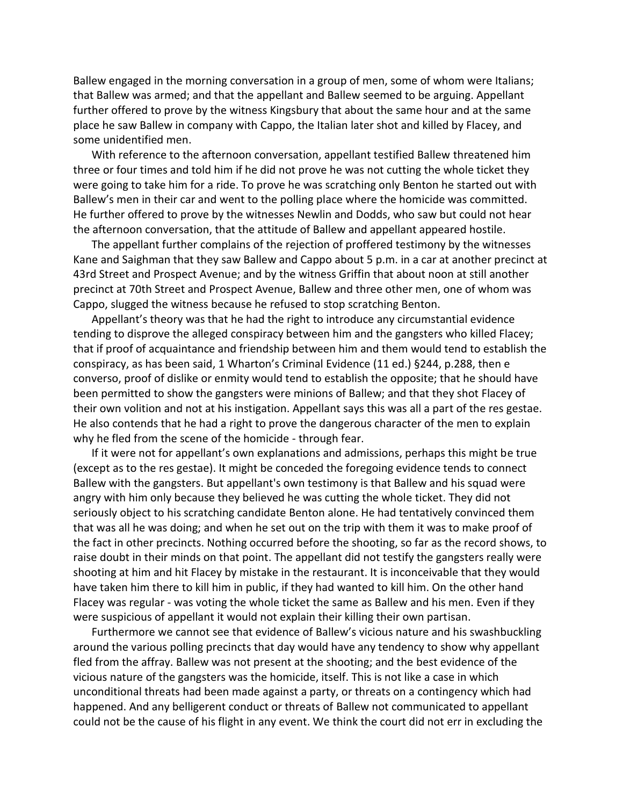Ballew engaged in the morning conversation in a group of men, some of whom were Italians; that Ballew was armed; and that the appellant and Ballew seemed to be arguing. Appellant further offered to prove by the witness Kingsbury that about the same hour and at the same place he saw Ballew in company with Cappo, the Italian later shot and killed by Flacey, and some unidentified men.

With reference to the afternoon conversation, appellant testified Ballew threatened him three or four times and told him if he did not prove he was not cutting the whole ticket they were going to take him for a ride. To prove he was scratching only Benton he started out with Ballew's men in their car and went to the polling place where the homicide was committed. He further offered to prove by the witnesses Newlin and Dodds, who saw but could not hear the afternoon conversation, that the attitude of Ballew and appellant appeared hostile.

The appellant further complains of the rejection of proffered testimony by the witnesses Kane and Saighman that they saw Ballew and Cappo about 5 p.m. in a car at another precinct at 43rd Street and Prospect Avenue; and by the witness Griffin that about noon at still another precinct at 70th Street and Prospect Avenue, Ballew and three other men, one of whom was Cappo, slugged the witness because he refused to stop scratching Benton.

Appellant's theory was that he had the right to introduce any circumstantial evidence tending to disprove the alleged conspiracy between him and the gangsters who killed Flacey; that if proof of acquaintance and friendship between him and them would tend to establish the conspiracy, as has been said, 1 Wharton's Criminal Evidence (11 ed.) §244, p.288, then e converso, proof of dislike or enmity would tend to establish the opposite; that he should have been permitted to show the gangsters were minions of Ballew; and that they shot Flacey of their own volition and not at his instigation. Appellant says this was all a part of the res gestae. He also contends that he had a right to prove the dangerous character of the men to explain why he fled from the scene of the homicide - through fear.

If it were not for appellant's own explanations and admissions, perhaps this might be true (except as to the res gestae). It might be conceded the foregoing evidence tends to connect Ballew with the gangsters. But appellant's own testimony is that Ballew and his squad were angry with him only because they believed he was cutting the whole ticket. They did not seriously object to his scratching candidate Benton alone. He had tentatively convinced them that was all he was doing; and when he set out on the trip with them it was to make proof of the fact in other precincts. Nothing occurred before the shooting, so far as the record shows, to raise doubt in their minds on that point. The appellant did not testify the gangsters really were shooting at him and hit Flacey by mistake in the restaurant. It is inconceivable that they would have taken him there to kill him in public, if they had wanted to kill him. On the other hand Flacey was regular - was voting the whole ticket the same as Ballew and his men. Even if they were suspicious of appellant it would not explain their killing their own partisan.

Furthermore we cannot see that evidence of Ballew's vicious nature and his swashbuckling around the various polling precincts that day would have any tendency to show why appellant fled from the affray. Ballew was not present at the shooting; and the best evidence of the vicious nature of the gangsters was the homicide, itself. This is not like a case in which unconditional threats had been made against a party, or threats on a contingency which had happened. And any belligerent conduct or threats of Ballew not communicated to appellant could not be the cause of his flight in any event. We think the court did not err in excluding the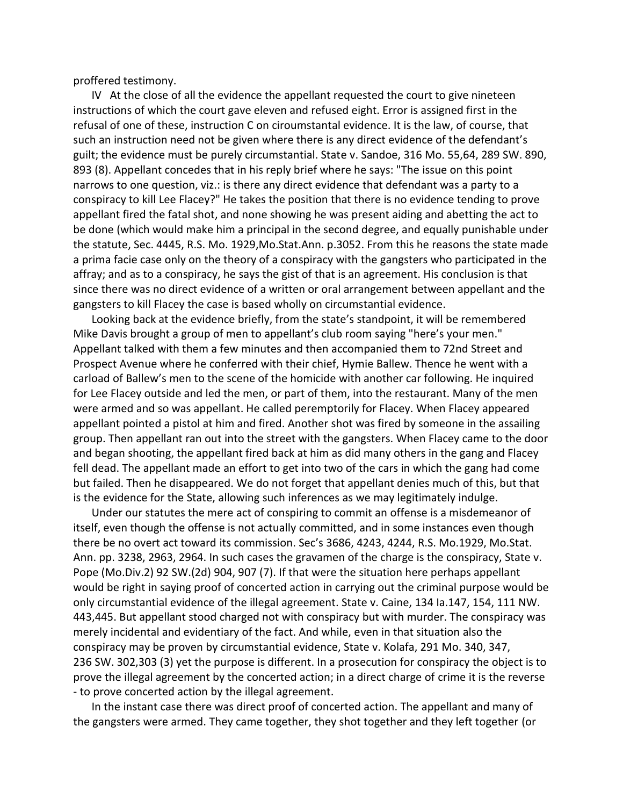proffered testimony.

IV At the close of all the evidence the appellant requested the court to give nineteen instructions of which the court gave eleven and refused eight. Error is assigned first in the refusal of one of these, instruction C on ciroumstantal evidence. It is the law, of course, that such an instruction need not be given where there is any direct evidence of the defendant's guilt; the evidence must be purely circumstantial. State v. Sandoe, 316 Mo. 55,64, 289 SW. 890, 893 (8). Appellant concedes that in his reply brief where he says: "The issue on this point narrows to one question, viz.: is there any direct evidence that defendant was a party to a conspiracy to kill Lee Flacey?" He takes the position that there is no evidence tending to prove appellant fired the fatal shot, and none showing he was present aiding and abetting the act to be done (which would make him a principal in the second degree, and equally punishable under the statute, Sec. 4445, R.S. Mo. 1929,Mo.Stat.Ann. p.3052. From this he reasons the state made a prima facie case only on the theory of a conspiracy with the gangsters who participated in the affray; and as to a conspiracy, he says the gist of that is an agreement. His conclusion is that since there was no direct evidence of a written or oral arrangement between appellant and the gangsters to kill Flacey the case is based wholly on circumstantial evidence.

Looking back at the evidence briefly, from the state's standpoint, it will be remembered Mike Davis brought a group of men to appellant's club room saying "here's your men." Appellant talked with them a few minutes and then accompanied them to 72nd Street and Prospect Avenue where he conferred with their chief, Hymie Ballew. Thence he went with a carload of Ballew's men to the scene of the homicide with another car following. He inquired for Lee Flacey outside and led the men, or part of them, into the restaurant. Many of the men were armed and so was appellant. He called peremptorily for Flacey. When Flacey appeared appellant pointed a pistol at him and fired. Another shot was fired by someone in the assailing group. Then appellant ran out into the street with the gangsters. When Flacey came to the door and began shooting, the appellant fired back at him as did many others in the gang and Flacey fell dead. The appellant made an effort to get into two of the cars in which the gang had come but failed. Then he disappeared. We do not forget that appellant denies much of this, but that is the evidence for the State, allowing such inferences as we may legitimately indulge.

Under our statutes the mere act of conspiring to commit an offense is a misdemeanor of itself, even though the offense is not actually committed, and in some instances even though there be no overt act toward its commission. Sec's 3686, 4243, 4244, R.S. Mo.1929, Mo.Stat. Ann. pp. 3238, 2963, 2964. In such cases the gravamen of the charge is the conspiracy, State v. Pope (Mo.Div.2) 92 SW.(2d) 904, 907 (7). If that were the situation here perhaps appellant would be right in saying proof of concerted action in carrying out the criminal purpose would be only circumstantial evidence of the illegal agreement. State v. Caine, 134 Ia.147, 154, 111 NW. 443,445. But appellant stood charged not with conspiracy but with murder. The conspiracy was merely incidental and evidentiary of the fact. And while, even in that situation also the conspiracy may be proven by circumstantial evidence, State v. Kolafa, 291 Mo. 340, 347, 236 SW. 302,303 (3) yet the purpose is different. In a prosecution for conspiracy the object is to prove the illegal agreement by the concerted action; in a direct charge of crime it is the reverse - to prove concerted action by the illegal agreement.

In the instant case there was direct proof of concerted action. The appellant and many of the gangsters were armed. They came together, they shot together and they left together (or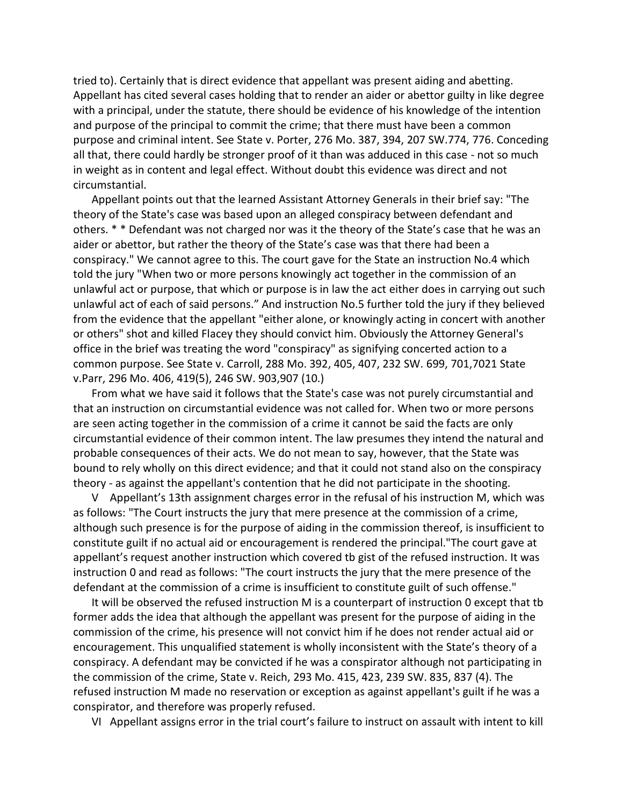tried to). Certainly that is direct evidence that appellant was present aiding and abetting. Appellant has cited several cases holding that to render an aider or abettor guilty in like degree with a principal, under the statute, there should be evidence of his knowledge of the intention and purpose of the principal to commit the crime; that there must have been a common purpose and criminal intent. See State v. Porter, 276 Mo. 387, 394, 207 SW.774, 776. Conceding all that, there could hardly be stronger proof of it than was adduced in this case - not so much in weight as in content and legal effect. Without doubt this evidence was direct and not circumstantial.

Appellant points out that the learned Assistant Attorney Generals in their brief say: "The theory of the State's case was based upon an alleged conspiracy between defendant and others. \* \* Defendant was not charged nor was it the theory of the State's case that he was an aider or abettor, but rather the theory of the State's case was that there had been a conspiracy." We cannot agree to this. The court gave for the State an instruction No.4 which told the jury "When two or more persons knowingly act together in the commission of an unlawful act or purpose, that which or purpose is in law the act either does in carrying out such unlawful act of each of said persons." And instruction No.5 further told the jury if they believed from the evidence that the appellant "either alone, or knowingly acting in concert with another or others" shot and killed Flacey they should convict him. Obviously the Attorney General's office in the brief was treating the word "conspiracy" as signifying concerted action to a common purpose. See State v. Carroll, 288 Mo. 392, 405, 407, 232 SW. 699, 701,7021 State v.Parr, 296 Mo. 406, 419(5), 246 SW. 903,907 (10.)

From what we have said it follows that the State's case was not purely circumstantial and that an instruction on circumstantial evidence was not called for. When two or more persons are seen acting together in the commission of a crime it cannot be said the facts are only circumstantial evidence of their common intent. The law presumes they intend the natural and probable consequences of their acts. We do not mean to say, however, that the State was bound to rely wholly on this direct evidence; and that it could not stand also on the conspiracy theory - as against the appellant's contention that he did not participate in the shooting.

V Appellant's 13th assignment charges error in the refusal of his instruction M, which was as follows: "The Court instructs the jury that mere presence at the commission of a crime, although such presence is for the purpose of aiding in the commission thereof, is insufficient to constitute guilt if no actual aid or encouragement is rendered the principal."The court gave at appellant's request another instruction which covered tb gist of the refused instruction. It was instruction 0 and read as follows: "The court instructs the jury that the mere presence of the defendant at the commission of a crime is insufficient to constitute guilt of such offense."

It will be observed the refused instruction M is a counterpart of instruction 0 except that tb former adds the idea that although the appellant was present for the purpose of aiding in the commission of the crime, his presence will not convict him if he does not render actual aid or encouragement. This unqualified statement is wholly inconsistent with the State's theory of a conspiracy. A defendant may be convicted if he was a conspirator although not participating in the commission of the crime, State v. Reich, 293 Mo. 415, 423, 239 SW. 835, 837 (4). The refused instruction M made no reservation or exception as against appellant's guilt if he was a conspirator, and therefore was properly refused.

VI Appellant assigns error in the trial court's failure to instruct on assault with intent to kill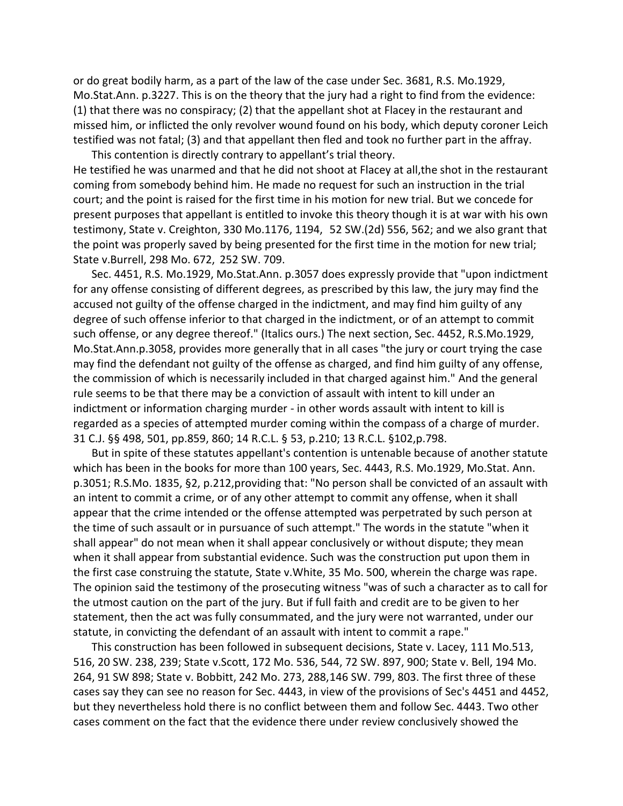or do great bodily harm, as a part of the law of the case under Sec. 3681, R.S. Mo.1929, Mo.Stat.Ann. p.3227. This is on the theory that the jury had a right to find from the evidence: (1) that there was no conspiracy; (2) that the appellant shot at Flacey in the restaurant and missed him, or inflicted the only revolver wound found on his body, which deputy coroner Leich testified was not fatal; (3) and that appellant then fled and took no further part in the affray.

This contention is directly contrary to appellant's trial theory. He testified he was unarmed and that he did not shoot at Flacey at all,the shot in the restaurant coming from somebody behind him. He made no request for such an instruction in the trial court; and the point is raised for the first time in his motion for new trial. But we concede for present purposes that appellant is entitled to invoke this theory though it is at war with his own testimony, State v. Creighton, 330 Mo.1176, 1194, 52 SW.(2d) 556, 562; and we also grant that the point was properly saved by being presented for the first time in the motion for new trial; State v.Burrell, 298 Mo. 672, 252 SW. 709.

Sec. 4451, R.S. Mo.1929, Mo.Stat.Ann. p.3057 does expressly provide that "upon indictment for any offense consisting of different degrees, as prescribed by this law, the jury may find the accused not guilty of the offense charged in the indictment, and may find him guilty of any degree of such offense inferior to that charged in the indictment, or of an attempt to commit such offense, or any degree thereof." (Italics ours.) The next section, Sec. 4452, R.S.Mo.1929, Mo.Stat.Ann.p.3058, provides more generally that in all cases "the jury or court trying the case may find the defendant not guilty of the offense as charged, and find him guilty of any offense, the commission of which is necessarily included in that charged against him." And the general rule seems to be that there may be a conviction of assault with intent to kill under an indictment or information charging murder - in other words assault with intent to kill is regarded as a species of attempted murder coming within the compass of a charge of murder. 31 C.J. §§ 498, 501, pp.859, 860; 14 R.C.L. § 53, p.210; 13 R.C.L. §102,p.798.

But in spite of these statutes appellant's contention is untenable because of another statute which has been in the books for more than 100 years, Sec. 4443, R.S. Mo.1929, Mo.Stat. Ann. p.3051; R.S.Mo. 1835, §2, p.212,providing that: "No person shall be convicted of an assault with an intent to commit a crime, or of any other attempt to commit any offense, when it shall appear that the crime intended or the offense attempted was perpetrated by such person at the time of such assault or in pursuance of such attempt." The words in the statute "when it shall appear" do not mean when it shall appear conclusively or without dispute; they mean when it shall appear from substantial evidence. Such was the construction put upon them in the first case construing the statute, State v.White, 35 Mo. 500, wherein the charge was rape. The opinion said the testimony of the prosecuting witness "was of such a character as to call for the utmost caution on the part of the jury. But if full faith and credit are to be given to her statement, then the act was fully consummated, and the jury were not warranted, under our statute, in convicting the defendant of an assault with intent to commit a rape."

This construction has been followed in subsequent decisions, State v. Lacey, 111 Mo.513, 516, 20 SW. 238, 239; State v.Scott, 172 Mo. 536, 544, 72 SW. 897, 900; State v. Bell, 194 Mo. 264, 91 SW 898; State v. Bobbitt, 242 Mo. 273, 288,146 SW. 799, 803. The first three of these cases say they can see no reason for Sec. 4443, in view of the provisions of Sec's 4451 and 4452, but they nevertheless hold there is no conflict between them and follow Sec. 4443. Two other cases comment on the fact that the evidence there under review conclusively showed the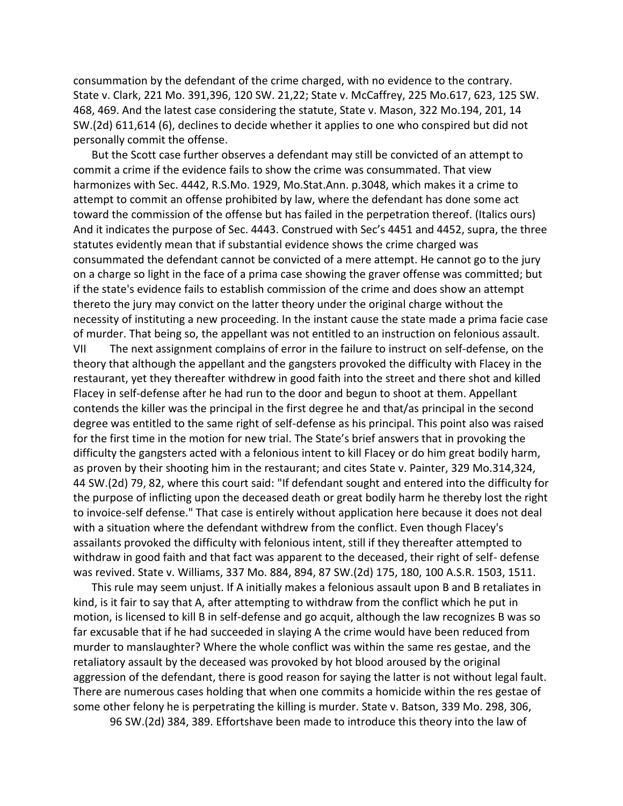consummation by the defendant of the crime charged, with no evidence to the contrary. State v. Clark, 221 Mo. 391,396, 120 SW. 21,22; State v. McCaffrey, 225 Mo.617, 623, 125 SW. 468, 469. And the latest case considering the statute, State v. Mason, 322 Mo.194, 201, 14 SW.(2d) 611,614 (6), declines to decide whether it applies to one who conspired but did not personally commit the offense.

But the Scott case further observes a defendant may still be convicted of an attempt to commit a crime if the evidence fails to show the crime was consummated. That view harmonizes with Sec. 4442, R.S.Mo. 1929, Mo.Stat.Ann. p.3048, which makes it a crime to attempt to commit an offense prohibited by law, where the defendant has done some act toward the commission of the offense but has failed in the perpetration thereof. (Italics ours) And it indicates the purpose of Sec. 4443. Construed with Sec's 4451 and 4452, supra, the three statutes evidently mean that if substantial evidence shows the crime charged was consummated the defendant cannot be convicted of a mere attempt. He cannot go to the jury on a charge so light in the face of a prima case showing the graver offense was committed; but if the state's evidence fails to establish commission of the crime and does show an attempt thereto the jury may convict on the latter theory under the original charge without the necessity of instituting a new proceeding. In the instant cause the state made a prima facie case of murder. That being so, the appellant was not entitled to an instruction on felonious assault.

VII The next assignment complains of error in the failure to instruct on self-defense, on the theory that although the appellant and the gangsters provoked the difficulty with Flacey in the restaurant, yet they thereafter withdrew in good faith into the street and there shot and killed Flacey in self-defense after he had run to the door and begun to shoot at them. Appellant contends the killer was the principal in the first degree he and that/as principal in the second degree was entitled to the same right of self-defense as his principal. This point also was raised for the first time in the motion for new trial. The State's brief answers that in provoking the difficulty the gangsters acted with a felonious intent to kill Flacey or do him great bodily harm, as proven by their shooting him in the restaurant; and cites State v. Painter, 329 Mo.314,324, 44 SW.(2d) 79, 82, where this court said: "If defendant sought and entered into the difficulty for the purpose of inflicting upon the deceased death or great bodily harm he thereby lost the right to invoice-self defense." That case is entirely without application here because it does not deal with a situation where the defendant withdrew from the conflict. Even though Flacey's assailants provoked the difficulty with felonious intent, still if they thereafter attempted to withdraw in good faith and that fact was apparent to the deceased, their right of self- defense was revived. State v. Williams, 337 Mo. 884, 894, 87 SW.(2d) 175, 180, 100 A.S.R. 1503, 1511.

This rule may seem unjust. If A initially makes a felonious assault upon B and B retaliates in kind, is it fair to say that A, after attempting to withdraw from the conflict which he put in motion, is licensed to kill B in self-defense and go acquit, although the law recognizes B was so far excusable that if he had succeeded in slaying A the crime would have been reduced from murder to manslaughter? Where the whole conflict was within the same res gestae, and the retaliatory assault by the deceased was provoked by hot blood aroused by the original aggression of the defendant, there is good reason for saying the latter is not without legal fault. There are numerous cases holding that when one commits a homicide within the res gestae of some other felony he is perpetrating the killing is murder. State v. Batson, 339 Mo. 298, 306,

96 SW.(2d) 384, 389. Effortshave been made to introduce this theory into the law of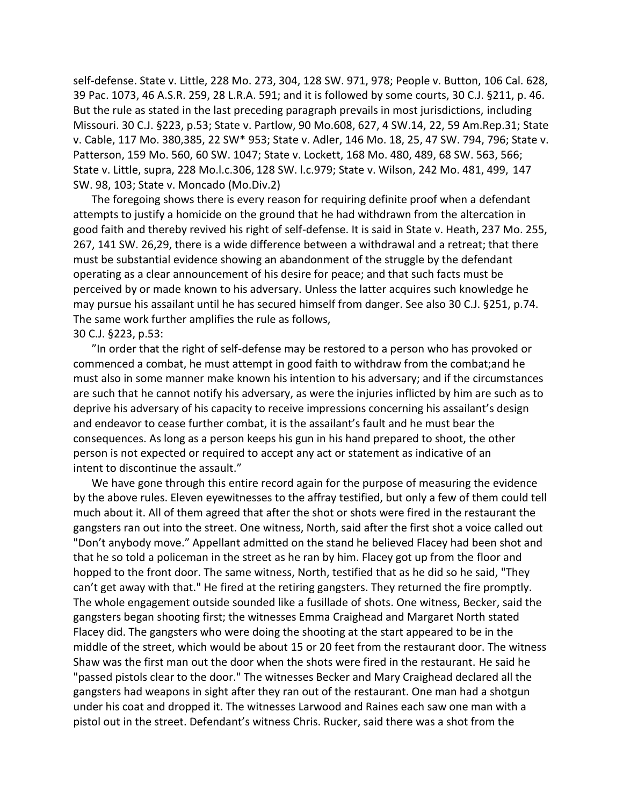self-defense. State v. Little, 228 Mo. 273, 304, 128 SW. 971, 978; People v. Button, 106 Cal. 628, 39 Pac. 1073, 46 A.S.R. 259, 28 L.R.A. 591; and it is followed by some courts, 30 C.J. §211, p. 46. But the rule as stated in the last preceding paragraph prevails in most jurisdictions, including Missouri. 30 C.J. §223, p.53; State v. Partlow, 90 Mo.608, 627, 4 SW.14, 22, 59 Am.Rep.31; State v. Cable, 117 Mo. 380,385, 22 SW\* 953; State v. Adler, 146 Mo. 18, 25, 47 SW. 794, 796; State v. Patterson, 159 Mo. 560, 60 SW. 1047; State v. Lockett, 168 Mo. 480, 489, 68 SW. 563, 566; State v. Little, supra, 228 Mo.l.c.306, 128 SW. l.c.979; State v. Wilson, 242 Mo. 481, 499, 147 SW. 98, 103; State v. Moncado (Mo.Div.2)

The foregoing shows there is every reason for requiring definite proof when a defendant attempts to justify a homicide on the ground that he had withdrawn from the altercation in good faith and thereby revived his right of self-defense. It is said in State v. Heath, 237 Mo. 255, 267, 141 SW. 26,29, there is a wide difference between a withdrawal and a retreat; that there must be substantial evidence showing an abandonment of the struggle by the defendant operating as a clear announcement of his desire for peace; and that such facts must be perceived by or made known to his adversary. Unless the latter acquires such knowledge he may pursue his assailant until he has secured himself from danger. See also 30 C.J. §251, p.74. The same work further amplifies the rule as follows, 30 C.J. §223, p.53:

"In order that the right of self-defense may be restored to a person who has provoked or commenced a combat, he must attempt in good faith to withdraw from the combat;and he must also in some manner make known his intention to his adversary; and if the circumstances are such that he cannot notify his adversary, as were the injuries inflicted by him are such as to deprive his adversary of his capacity to receive impressions concerning his assailant's design and endeavor to cease further combat, it is the assailant's fault and he must bear the consequences. As long as a person keeps his gun in his hand prepared to shoot, the other person is not expected or required to accept any act or statement as indicative of an intent to discontinue the assault."

We have gone through this entire record again for the purpose of measuring the evidence by the above rules. Eleven eyewitnesses to the affray testified, but only a few of them could tell much about it. All of them agreed that after the shot or shots were fired in the restaurant the gangsters ran out into the street. One witness, North, said after the first shot a voice called out "Don't anybody move." Appellant admitted on the stand he believed Flacey had been shot and that he so told a policeman in the street as he ran by him. Flacey got up from the floor and hopped to the front door. The same witness, North, testified that as he did so he said, "They can't get away with that." He fired at the retiring gangsters. They returned the fire promptly. The whole engagement outside sounded like a fusillade of shots. One witness, Becker, said the gangsters began shooting first; the witnesses Emma Craighead and Margaret North stated Flacey did. The gangsters who were doing the shooting at the start appeared to be in the middle of the street, which would be about 15 or 20 feet from the restaurant door. The witness Shaw was the first man out the door when the shots were fired in the restaurant. He said he "passed pistols clear to the door." The witnesses Becker and Mary Craighead declared all the gangsters had weapons in sight after they ran out of the restaurant. One man had a shotgun under his coat and dropped it. The witnesses Larwood and Raines each saw one man with a pistol out in the street. Defendant's witness Chris. Rucker, said there was a shot from the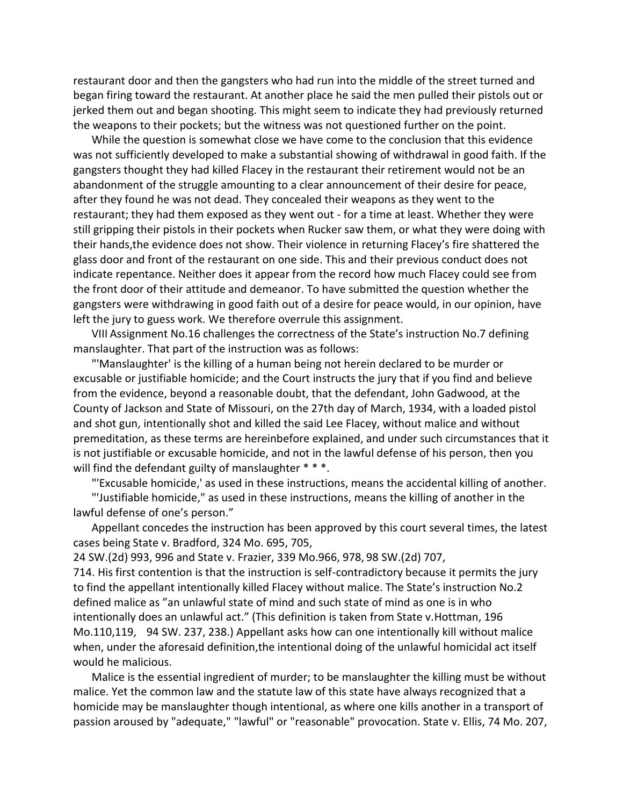restaurant door and then the gangsters who had run into the middle of the street turned and began firing toward the restaurant. At another place he said the men pulled their pistols out or jerked them out and began shooting. This might seem to indicate they had previously returned the weapons to their pockets; but the witness was not questioned further on the point.

While the question is somewhat close we have come to the conclusion that this evidence was not sufficiently developed to make a substantial showing of withdrawal in good faith. If the gangsters thought they had killed Flacey in the restaurant their retirement would not be an abandonment of the struggle amounting to a clear announcement of their desire for peace, after they found he was not dead. They concealed their weapons as they went to the restaurant; they had them exposed as they went out - for a time at least. Whether they were still gripping their pistols in their pockets when Rucker saw them, or what they were doing with their hands,the evidence does not show. Their violence in returning Flacey's fire shattered the glass door and front of the restaurant on one side. This and their previous conduct does not indicate repentance. Neither does it appear from the record how much Flacey could see from the front door of their attitude and demeanor. To have submitted the question whether the gangsters were withdrawing in good faith out of a desire for peace would, in our opinion, have left the jury to guess work. We therefore overrule this assignment.

VIII Assignment No.16 challenges the correctness of the State's instruction No.7 defining manslaughter. That part of the instruction was as follows:

"'Manslaughter' is the killing of a human being not herein declared to be murder or excusable or justifiable homicide; and the Court instructs the jury that if you find and believe from the evidence, beyond a reasonable doubt, that the defendant, John Gadwood, at the County of Jackson and State of Missouri, on the 27th day of March, 1934, with a loaded pistol and shot gun, intentionally shot and killed the said Lee Flacey, without malice and without premeditation, as these terms are hereinbefore explained, and under such circumstances that it is not justifiable or excusable homicide, and not in the lawful defense of his person, then you will find the defendant guilty of manslaughter \* \* \*.

"'Excusable homicide,' as used in these instructions, means the accidental killing of another.

"'Justifiable homicide," as used in these instructions, means the killing of another in the lawful defense of one's person."

Appellant concedes the instruction has been approved by this court several times, the latest cases being State v. Bradford, 324 Mo. 695, 705,

24 SW.(2d) 993, 996 and State v. Frazier, 339 Mo.966, 978, 98 SW.(2d) 707,

714. His first contention is that the instruction is self-contradictory because it permits the jury to find the appellant intentionally killed Flacey without malice. The State's instruction No.2 defined malice as "an unlawful state of mind and such state of mind as one is in who intentionally does an unlawful act." (This definition is taken from State v.Hottman, 196 Mo.110,119, 94 SW. 237, 238.) Appellant asks how can one intentionally kill without malice when, under the aforesaid definition,the intentional doing of the unlawful homicidal act itself would he malicious.

Malice is the essential ingredient of murder; to be manslaughter the killing must be without malice. Yet the common law and the statute law of this state have always recognized that a homicide may be manslaughter though intentional, as where one kills another in a transport of passion aroused by "adequate," "lawful" or "reasonable" provocation. State v. Ellis, 74 Mo. 207,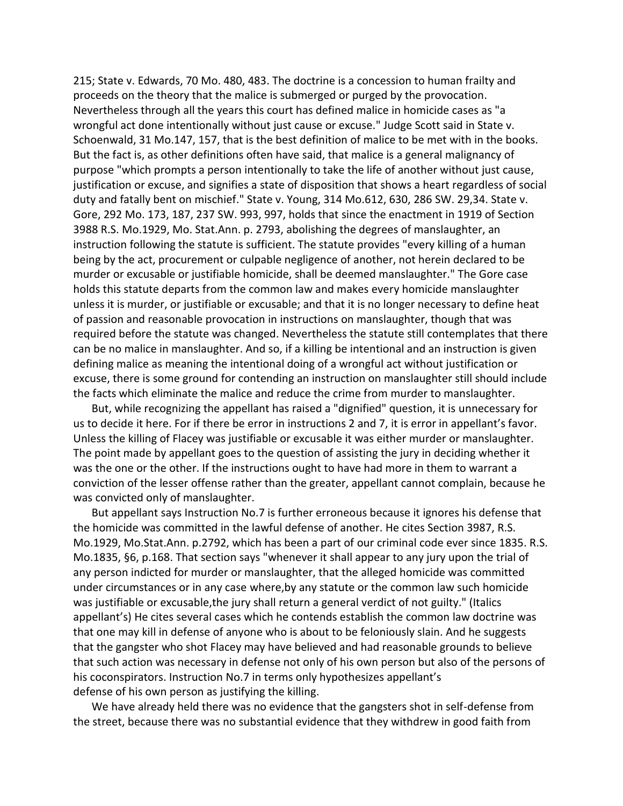215; State v. Edwards, 70 Mo. 480, 483. The doctrine is a concession to human frailty and proceeds on the theory that the malice is submerged or purged by the provocation. Nevertheless through all the years this court has defined malice in homicide cases as "a wrongful act done intentionally without just cause or excuse." Judge Scott said in State v. Schoenwald, 31 Mo.147, 157, that is the best definition of malice to be met with in the books. But the fact is, as other definitions often have said, that malice is a general malignancy of purpose "which prompts a person intentionally to take the life of another without just cause, justification or excuse, and signifies a state of disposition that shows a heart regardless of social duty and fatally bent on mischief." State v. Young, 314 Mo.612, 630, 286 SW. 29,34. State v. Gore, 292 Mo. 173, 187, 237 SW. 993, 997, holds that since the enactment in 1919 of Section 3988 R.S. Mo.1929, Mo. Stat.Ann. p. 2793, abolishing the degrees of manslaughter, an instruction following the statute is sufficient. The statute provides "every killing of a human being by the act, procurement or culpable negligence of another, not herein declared to be murder or excusable or justifiable homicide, shall be deemed manslaughter." The Gore case holds this statute departs from the common law and makes every homicide manslaughter unless it is murder, or justifiable or excusable; and that it is no longer necessary to define heat of passion and reasonable provocation in instructions on manslaughter, though that was required before the statute was changed. Nevertheless the statute still contemplates that there can be no malice in manslaughter. And so, if a killing be intentional and an instruction is given defining malice as meaning the intentional doing of a wrongful act without justification or excuse, there is some ground for contending an instruction on manslaughter still should include the facts which eliminate the malice and reduce the crime from murder to manslaughter.

But, while recognizing the appellant has raised a "dignified" question, it is unnecessary for us to decide it here. For if there be error in instructions 2 and 7, it is error in appellant's favor. Unless the killing of Flacey was justifiable or excusable it was either murder or manslaughter. The point made by appellant goes to the question of assisting the jury in deciding whether it was the one or the other. If the instructions ought to have had more in them to warrant a conviction of the lesser offense rather than the greater, appellant cannot complain, because he was convicted only of manslaughter.

But appellant says Instruction No.7 is further erroneous because it ignores his defense that the homicide was committed in the lawful defense of another. He cites Section 3987, R.S. Mo.1929, Mo.Stat.Ann. p.2792, which has been a part of our criminal code ever since 1835. R.S. Mo.1835, §6, p.168. That section says "whenever it shall appear to any jury upon the trial of any person indicted for murder or manslaughter, that the alleged homicide was committed under circumstances or in any case where,by any statute or the common law such homicide was justifiable or excusable,the jury shall return a general verdict of not guilty." (Italics appellant's) He cites several cases which he contends establish the common law doctrine was that one may kill in defense of anyone who is about to be feloniously slain. And he suggests that the gangster who shot Flacey may have believed and had reasonable grounds to believe that such action was necessary in defense not only of his own person but also of the persons of his coconspirators. Instruction No.7 in terms only hypothesizes appellant's defense of his own person as justifying the killing.

We have already held there was no evidence that the gangsters shot in self-defense from the street, because there was no substantial evidence that they withdrew in good faith from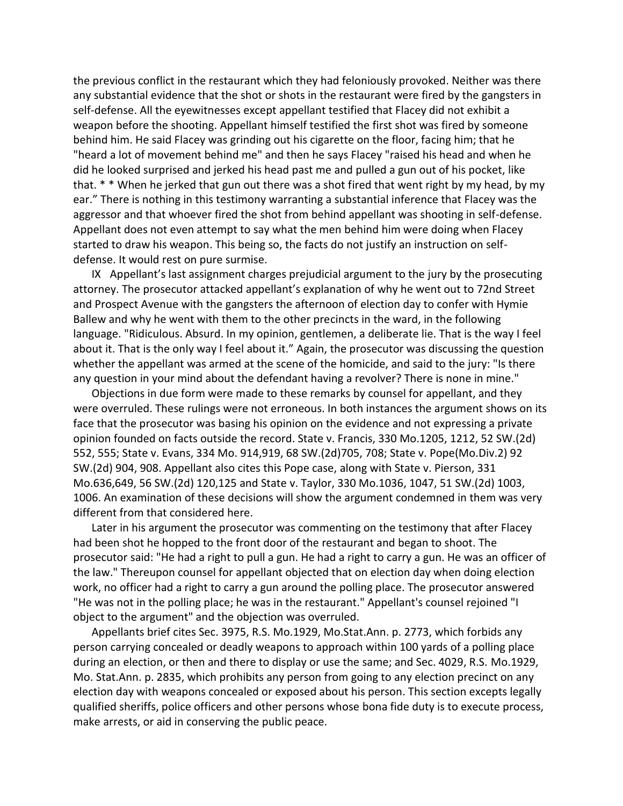the previous conflict in the restaurant which they had feloniously provoked. Neither was there any substantial evidence that the shot or shots in the restaurant were fired by the gangsters in self-defense. All the eyewitnesses except appellant testified that Flacey did not exhibit a weapon before the shooting. Appellant himself testified the first shot was fired by someone behind him. He said Flacey was grinding out his cigarette on the floor, facing him; that he "heard a lot of movement behind me" and then he says Flacey "raised his head and when he did he looked surprised and jerked his head past me and pulled a gun out of his pocket, like that. \* \* When he jerked that gun out there was a shot fired that went right by my head, by my ear." There is nothing in this testimony warranting a substantial inference that Flacey was the aggressor and that whoever fired the shot from behind appellant was shooting in self-defense. Appellant does not even attempt to say what the men behind him were doing when Flacey started to draw his weapon. This being so, the facts do not justify an instruction on selfdefense. It would rest on pure surmise.

IX Appellant's last assignment charges prejudicial argument to the jury by the prosecuting attorney. The prosecutor attacked appellant's explanation of why he went out to 72nd Street and Prospect Avenue with the gangsters the afternoon of election day to confer with Hymie Ballew and why he went with them to the other precincts in the ward, in the following language. "Ridiculous. Absurd. In my opinion, gentlemen, a deliberate lie. That is the way I feel about it. That is the only way I feel about it." Again, the prosecutor was discussing the question whether the appellant was armed at the scene of the homicide, and said to the jury: "Is there any question in your mind about the defendant having a revolver? There is none in mine."

Objections in due form were made to these remarks by counsel for appellant, and they were overruled. These rulings were not erroneous. In both instances the argument shows on its face that the prosecutor was basing his opinion on the evidence and not expressing a private opinion founded on facts outside the record. State v. Francis, 330 Mo.1205, 1212, 52 SW.(2d) 552, 555; State v. Evans, 334 Mo. 914,919, 68 SW.(2d)705, 708; State v. Pope(Mo.Div.2) 92 SW.(2d) 904, 908. Appellant also cites this Pope case, along with State v. Pierson, 331 Mo.636,649, 56 SW.(2d) 120,125 and State v. Taylor, 330 Mo.1036, 1047, 51 SW.(2d) 1003, 1006. An examination of these decisions will show the argument condemned in them was very different from that considered here.

Later in his argument the prosecutor was commenting on the testimony that after Flacey had been shot he hopped to the front door of the restaurant and began to shoot. The prosecutor said: "He had a right to pull a gun. He had a right to carry a gun. He was an officer of the law." Thereupon counsel for appellant objected that on election day when doing election work, no officer had a right to carry a gun around the polling place. The prosecutor answered "He was not in the polling place; he was in the restaurant." Appellant's counsel rejoined "I object to the argument" and the objection was overruled.

Appellants brief cites Sec. 3975, R.S. Mo.1929, Mo.Stat.Ann. p. 2773, which forbids any person carrying concealed or deadly weapons to approach within 100 yards of a polling place during an election, or then and there to display or use the same; and Sec. 4029, R.S. Mo.1929, Mo. Stat.Ann. p. 2835, which prohibits any person from going to any election precinct on any election day with weapons concealed or exposed about his person. This section excepts legally qualified sheriffs, police officers and other persons whose bona fide duty is to execute process, make arrests, or aid in conserving the public peace.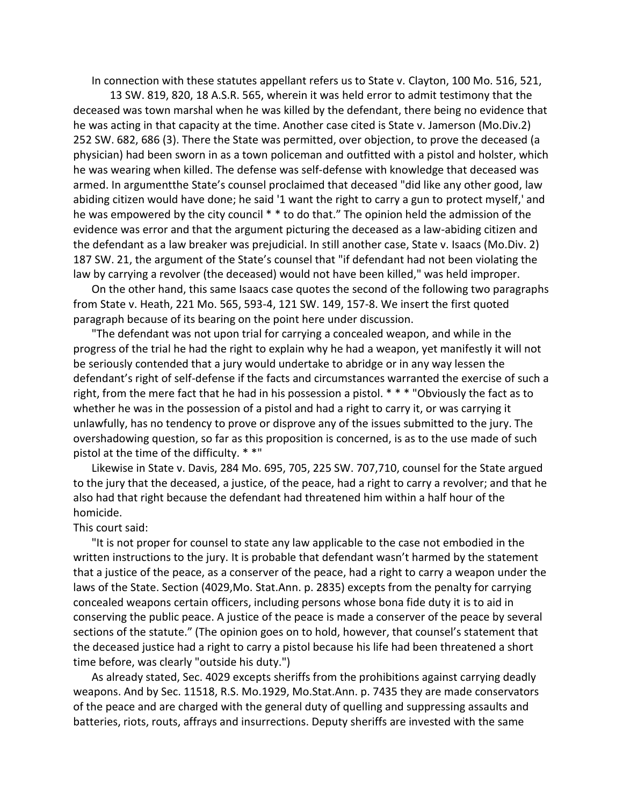In connection with these statutes appellant refers us to State v. Clayton, 100 Mo. 516, 521,

13 SW. 819, 820, 18 A.S.R. 565, wherein it was held error to admit testimony that the deceased was town marshal when he was killed by the defendant, there being no evidence that he was acting in that capacity at the time. Another case cited is State v. Jamerson (Mo.Div.2) 252 SW. 682, 686 (3). There the State was permitted, over objection, to prove the deceased (a physician) had been sworn in as a town policeman and outfitted with a pistol and holster, which he was wearing when killed. The defense was self-defense with knowledge that deceased was armed. In argumentthe State's counsel proclaimed that deceased "did like any other good, law abiding citizen would have done; he said '1 want the right to carry a gun to protect myself,' and he was empowered by the city council \* \* to do that." The opinion held the admission of the evidence was error and that the argument picturing the deceased as a law-abiding citizen and the defendant as a law breaker was prejudicial. In still another case, State v. Isaacs (Mo.Div. 2) 187 SW. 21, the argument of the State's counsel that "if defendant had not been violating the law by carrying a revolver (the deceased) would not have been killed," was held improper.

On the other hand, this same Isaacs case quotes the second of the following two paragraphs from State v. Heath, 221 Mo. 565, 593-4, 121 SW. 149, 157-8. We insert the first quoted paragraph because of its bearing on the point here under discussion.

"The defendant was not upon trial for carrying a concealed weapon, and while in the progress of the trial he had the right to explain why he had a weapon, yet manifestly it will not be seriously contended that a jury would undertake to abridge or in any way lessen the defendant's right of self-defense if the facts and circumstances warranted the exercise of such a right, from the mere fact that he had in his possession a pistol. \* \* \* "Obviously the fact as to whether he was in the possession of a pistol and had a right to carry it, or was carrying it unlawfully, has no tendency to prove or disprove any of the issues submitted to the jury. The overshadowing question, so far as this proposition is concerned, is as to the use made of such pistol at the time of the difficulty. \* \*"

Likewise in State v. Davis, 284 Mo. 695, 705, 225 SW. 707,710, counsel for the State argued to the jury that the deceased, a justice, of the peace, had a right to carry a revolver; and that he also had that right because the defendant had threatened him within a half hour of the homicide.

## This court said:

"It is not proper for counsel to state any law applicable to the case not embodied in the written instructions to the jury. It is probable that defendant wasn't harmed by the statement that a justice of the peace, as a conserver of the peace, had a right to carry a weapon under the laws of the State. Section (4029,Mo. Stat.Ann. p. 2835) excepts from the penalty for carrying concealed weapons certain officers, including persons whose bona fide duty it is to aid in conserving the public peace. A justice of the peace is made a conserver of the peace by several sections of the statute." (The opinion goes on to hold, however, that counsel's statement that the deceased justice had a right to carry a pistol because his life had been threatened a short time before, was clearly "outside his duty.")

As already stated, Sec. 4029 excepts sheriffs from the prohibitions against carrying deadly weapons. And by Sec. 11518, R.S. Mo.1929, Mo.Stat.Ann. p. 7435 they are made conservators of the peace and are charged with the general duty of quelling and suppressing assaults and batteries, riots, routs, affrays and insurrections. Deputy sheriffs are invested with the same